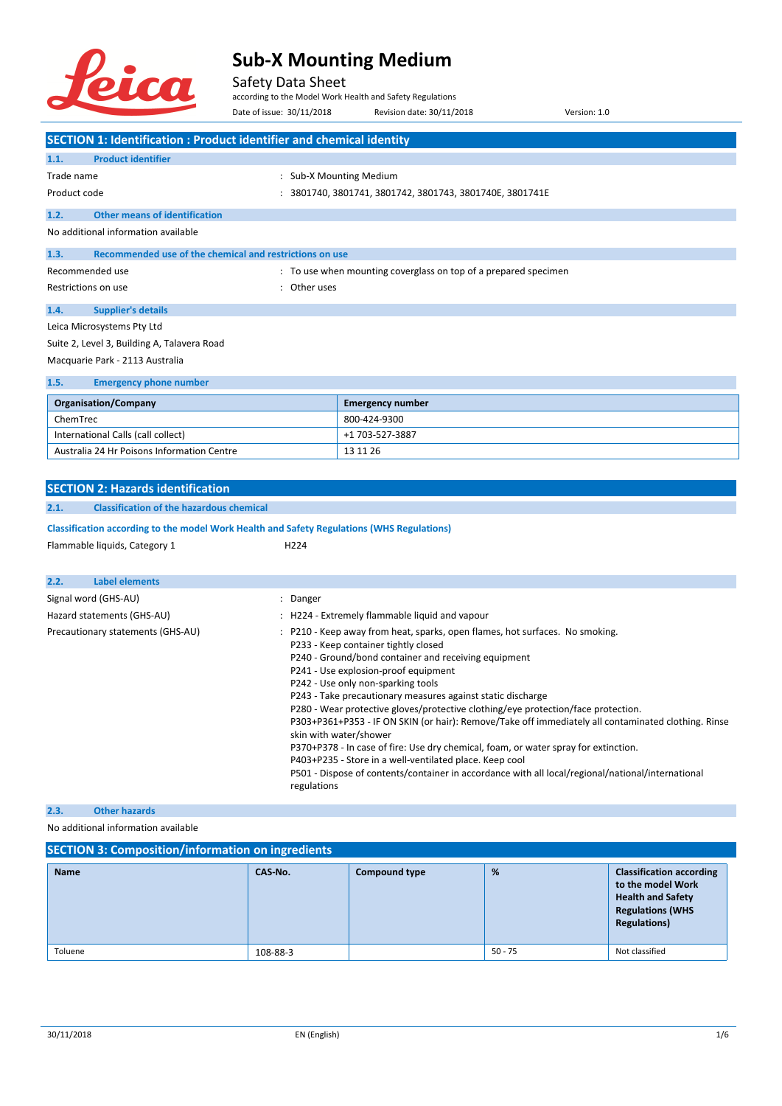

Safety Data Sheet

according to the Model Work Health and Safety Regulations

|                                                                                                   | Date of issue: 30/11/2018             | Revision date: 30/11/2018                                                                                                                                                                                                                                                                                                                                                                                                                                                                                                                                        | Version: 1.0                                                                                                                                                                                             |
|---------------------------------------------------------------------------------------------------|---------------------------------------|------------------------------------------------------------------------------------------------------------------------------------------------------------------------------------------------------------------------------------------------------------------------------------------------------------------------------------------------------------------------------------------------------------------------------------------------------------------------------------------------------------------------------------------------------------------|----------------------------------------------------------------------------------------------------------------------------------------------------------------------------------------------------------|
| <b>SECTION 1: Identification : Product identifier and chemical identity</b>                       |                                       |                                                                                                                                                                                                                                                                                                                                                                                                                                                                                                                                                                  |                                                                                                                                                                                                          |
| <b>Product identifier</b><br>1.1.                                                                 |                                       |                                                                                                                                                                                                                                                                                                                                                                                                                                                                                                                                                                  |                                                                                                                                                                                                          |
| Trade name                                                                                        | : Sub-X Mounting Medium               |                                                                                                                                                                                                                                                                                                                                                                                                                                                                                                                                                                  |                                                                                                                                                                                                          |
| Product code                                                                                      |                                       | : 3801740, 3801741, 3801742, 3801743, 3801740E, 3801741E                                                                                                                                                                                                                                                                                                                                                                                                                                                                                                         |                                                                                                                                                                                                          |
| <b>Other means of identification</b><br>1.2.                                                      |                                       |                                                                                                                                                                                                                                                                                                                                                                                                                                                                                                                                                                  |                                                                                                                                                                                                          |
| No additional information available                                                               |                                       |                                                                                                                                                                                                                                                                                                                                                                                                                                                                                                                                                                  |                                                                                                                                                                                                          |
| Recommended use of the chemical and restrictions on use<br>1.3.                                   |                                       |                                                                                                                                                                                                                                                                                                                                                                                                                                                                                                                                                                  |                                                                                                                                                                                                          |
| Recommended use                                                                                   |                                       | : To use when mounting coverglass on top of a prepared specimen                                                                                                                                                                                                                                                                                                                                                                                                                                                                                                  |                                                                                                                                                                                                          |
| Restrictions on use                                                                               | : Other uses                          |                                                                                                                                                                                                                                                                                                                                                                                                                                                                                                                                                                  |                                                                                                                                                                                                          |
| 1.4.<br><b>Supplier's details</b>                                                                 |                                       |                                                                                                                                                                                                                                                                                                                                                                                                                                                                                                                                                                  |                                                                                                                                                                                                          |
| Leica Microsystems Pty Ltd                                                                        |                                       |                                                                                                                                                                                                                                                                                                                                                                                                                                                                                                                                                                  |                                                                                                                                                                                                          |
| Suite 2, Level 3, Building A, Talavera Road                                                       |                                       |                                                                                                                                                                                                                                                                                                                                                                                                                                                                                                                                                                  |                                                                                                                                                                                                          |
| Macquarie Park - 2113 Australia                                                                   |                                       |                                                                                                                                                                                                                                                                                                                                                                                                                                                                                                                                                                  |                                                                                                                                                                                                          |
| 1.5.<br><b>Emergency phone number</b>                                                             |                                       |                                                                                                                                                                                                                                                                                                                                                                                                                                                                                                                                                                  |                                                                                                                                                                                                          |
| <b>Organisation/Company</b>                                                                       |                                       | <b>Emergency number</b>                                                                                                                                                                                                                                                                                                                                                                                                                                                                                                                                          |                                                                                                                                                                                                          |
| ChemTrec                                                                                          |                                       | 800-424-9300                                                                                                                                                                                                                                                                                                                                                                                                                                                                                                                                                     |                                                                                                                                                                                                          |
| International Calls (call collect)                                                                |                                       | +1 703-527-3887                                                                                                                                                                                                                                                                                                                                                                                                                                                                                                                                                  |                                                                                                                                                                                                          |
| Australia 24 Hr Poisons Information Centre                                                        |                                       | 13 11 26                                                                                                                                                                                                                                                                                                                                                                                                                                                                                                                                                         |                                                                                                                                                                                                          |
|                                                                                                   |                                       |                                                                                                                                                                                                                                                                                                                                                                                                                                                                                                                                                                  |                                                                                                                                                                                                          |
| <b>SECTION 2: Hazards identification</b>                                                          |                                       |                                                                                                                                                                                                                                                                                                                                                                                                                                                                                                                                                                  |                                                                                                                                                                                                          |
| <b>Classification of the hazardous chemical</b><br>2.1.                                           |                                       |                                                                                                                                                                                                                                                                                                                                                                                                                                                                                                                                                                  |                                                                                                                                                                                                          |
| <b>Classification according to the model Work Health and Safety Regulations (WHS Regulations)</b> |                                       |                                                                                                                                                                                                                                                                                                                                                                                                                                                                                                                                                                  |                                                                                                                                                                                                          |
| Flammable liquids, Category 1                                                                     | H <sub>224</sub>                      |                                                                                                                                                                                                                                                                                                                                                                                                                                                                                                                                                                  |                                                                                                                                                                                                          |
|                                                                                                   |                                       |                                                                                                                                                                                                                                                                                                                                                                                                                                                                                                                                                                  |                                                                                                                                                                                                          |
| 2.2.<br>Label elements                                                                            |                                       |                                                                                                                                                                                                                                                                                                                                                                                                                                                                                                                                                                  |                                                                                                                                                                                                          |
| Signal word (GHS-AU)                                                                              | ÷<br>Danger                           |                                                                                                                                                                                                                                                                                                                                                                                                                                                                                                                                                                  |                                                                                                                                                                                                          |
| Hazard statements (GHS-AU)                                                                        |                                       | : H224 - Extremely flammable liquid and vapour                                                                                                                                                                                                                                                                                                                                                                                                                                                                                                                   |                                                                                                                                                                                                          |
| Precautionary statements (GHS-AU)                                                                 | skin with water/shower<br>regulations | : P210 - Keep away from heat, sparks, open flames, hot surfaces. No smoking.<br>P233 - Keep container tightly closed<br>P240 - Ground/bond container and receiving equipment<br>P241 - Use explosion-proof equipment<br>P242 - Use only non-sparking tools<br>P243 - Take precautionary measures against static discharge<br>P280 - Wear protective gloves/protective clothing/eye protection/face protection.<br>P370+P378 - In case of fire: Use dry chemical, foam, or water spray for extinction.<br>P403+P235 - Store in a well-ventilated place. Keep cool | P303+P361+P353 - IF ON SKIN (or hair): Remove/Take off immediately all contaminated clothing. Rinse<br>P501 - Dispose of contents/container in accordance with all local/regional/national/international |

#### **2.3. Other hazards**

No additional information available

### **SECTION 3: Composition/information on ingredients**

| <b>Name</b> | CAS-No.  | <b>Compound type</b> | %         | <b>Classification according</b><br>to the model Work<br><b>Health and Safety</b><br><b>Regulations (WHS</b><br><b>Regulations)</b> |
|-------------|----------|----------------------|-----------|------------------------------------------------------------------------------------------------------------------------------------|
| Toluene     | 108-88-3 |                      | $50 - 75$ | Not classified                                                                                                                     |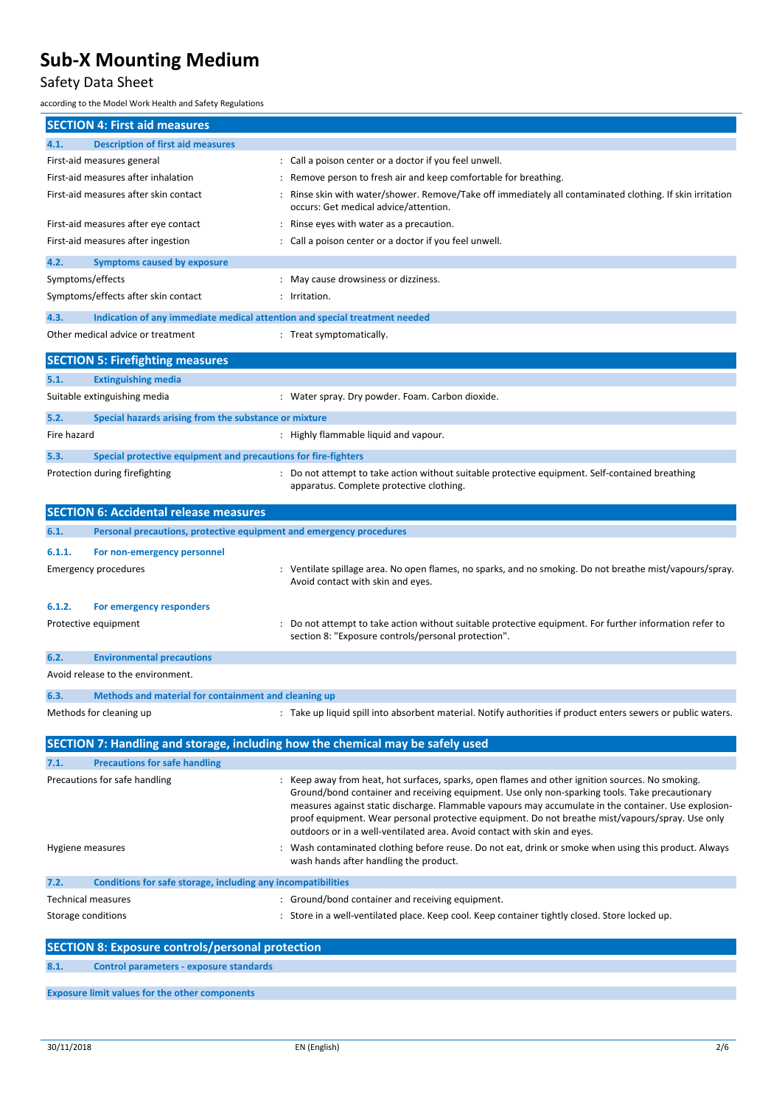### Safety Data Sheet

according to the Model Work Health and Safety Regulations

| <b>SECTION 4: First aid measures</b>                                               |                                                                                                                                                                                                                                                                                                                                                                                                                                                                                          |
|------------------------------------------------------------------------------------|------------------------------------------------------------------------------------------------------------------------------------------------------------------------------------------------------------------------------------------------------------------------------------------------------------------------------------------------------------------------------------------------------------------------------------------------------------------------------------------|
| 4.1.<br><b>Description of first aid measures</b>                                   |                                                                                                                                                                                                                                                                                                                                                                                                                                                                                          |
| First-aid measures general                                                         | : Call a poison center or a doctor if you feel unwell.                                                                                                                                                                                                                                                                                                                                                                                                                                   |
| First-aid measures after inhalation                                                | Remove person to fresh air and keep comfortable for breathing.                                                                                                                                                                                                                                                                                                                                                                                                                           |
| First-aid measures after skin contact                                              | Rinse skin with water/shower. Remove/Take off immediately all contaminated clothing. If skin irritation<br>occurs: Get medical advice/attention.                                                                                                                                                                                                                                                                                                                                         |
| First-aid measures after eye contact                                               | Rinse eyes with water as a precaution.                                                                                                                                                                                                                                                                                                                                                                                                                                                   |
| First-aid measures after ingestion                                                 | : Call a poison center or a doctor if you feel unwell.                                                                                                                                                                                                                                                                                                                                                                                                                                   |
| <b>Symptoms caused by exposure</b><br>4.2.                                         |                                                                                                                                                                                                                                                                                                                                                                                                                                                                                          |
| Symptoms/effects                                                                   | May cause drowsiness or dizziness.                                                                                                                                                                                                                                                                                                                                                                                                                                                       |
| Symptoms/effects after skin contact                                                | Irritation.                                                                                                                                                                                                                                                                                                                                                                                                                                                                              |
| 4.3.<br>Indication of any immediate medical attention and special treatment needed |                                                                                                                                                                                                                                                                                                                                                                                                                                                                                          |
| Other medical advice or treatment                                                  | : Treat symptomatically.                                                                                                                                                                                                                                                                                                                                                                                                                                                                 |
|                                                                                    |                                                                                                                                                                                                                                                                                                                                                                                                                                                                                          |
| <b>SECTION 5: Firefighting measures</b>                                            |                                                                                                                                                                                                                                                                                                                                                                                                                                                                                          |
| 5.1.<br><b>Extinguishing media</b>                                                 |                                                                                                                                                                                                                                                                                                                                                                                                                                                                                          |
| Suitable extinguishing media                                                       | : Water spray. Dry powder. Foam. Carbon dioxide.                                                                                                                                                                                                                                                                                                                                                                                                                                         |
| Special hazards arising from the substance or mixture<br>5.2.                      |                                                                                                                                                                                                                                                                                                                                                                                                                                                                                          |
| Fire hazard                                                                        | : Highly flammable liquid and vapour.                                                                                                                                                                                                                                                                                                                                                                                                                                                    |
| Special protective equipment and precautions for fire-fighters<br>5.3.             |                                                                                                                                                                                                                                                                                                                                                                                                                                                                                          |
| Protection during firefighting                                                     | Do not attempt to take action without suitable protective equipment. Self-contained breathing<br>apparatus. Complete protective clothing.                                                                                                                                                                                                                                                                                                                                                |
| <b>SECTION 6: Accidental release measures</b>                                      |                                                                                                                                                                                                                                                                                                                                                                                                                                                                                          |
| 6.1.<br>Personal precautions, protective equipment and emergency procedures        |                                                                                                                                                                                                                                                                                                                                                                                                                                                                                          |
| 6.1.1.<br>For non-emergency personnel                                              |                                                                                                                                                                                                                                                                                                                                                                                                                                                                                          |
| Emergency procedures                                                               | Ventilate spillage area. No open flames, no sparks, and no smoking. Do not breathe mist/vapours/spray.<br>Avoid contact with skin and eyes.                                                                                                                                                                                                                                                                                                                                              |
| 6.1.2.<br>For emergency responders                                                 |                                                                                                                                                                                                                                                                                                                                                                                                                                                                                          |
| Protective equipment                                                               | Do not attempt to take action without suitable protective equipment. For further information refer to<br>section 8: "Exposure controls/personal protection".                                                                                                                                                                                                                                                                                                                             |
| <b>Environmental precautions</b><br>6.2.                                           |                                                                                                                                                                                                                                                                                                                                                                                                                                                                                          |
| Avoid release to the environment.                                                  |                                                                                                                                                                                                                                                                                                                                                                                                                                                                                          |
| 6.3.<br>Methods and material for containment and cleaning up                       |                                                                                                                                                                                                                                                                                                                                                                                                                                                                                          |
| Methods for cleaning up                                                            | : Take up liquid spill into absorbent material. Notify authorities if product enters sewers or public waters.                                                                                                                                                                                                                                                                                                                                                                            |
|                                                                                    |                                                                                                                                                                                                                                                                                                                                                                                                                                                                                          |
|                                                                                    | SECTION 7: Handling and storage, including how the chemical may be safely used                                                                                                                                                                                                                                                                                                                                                                                                           |
| <b>Precautions for safe handling</b><br>7.1.                                       |                                                                                                                                                                                                                                                                                                                                                                                                                                                                                          |
| Precautions for safe handling                                                      | Keep away from heat, hot surfaces, sparks, open flames and other ignition sources. No smoking.<br>Ground/bond container and receiving equipment. Use only non-sparking tools. Take precautionary<br>measures against static discharge. Flammable vapours may accumulate in the container. Use explosion-<br>proof equipment. Wear personal protective equipment. Do not breathe mist/vapours/spray. Use only<br>outdoors or in a well-ventilated area. Avoid contact with skin and eyes. |
| Hygiene measures                                                                   | Wash contaminated clothing before reuse. Do not eat, drink or smoke when using this product. Always<br>wash hands after handling the product.                                                                                                                                                                                                                                                                                                                                            |
| Conditions for safe storage, including any incompatibilities<br>7.2.               |                                                                                                                                                                                                                                                                                                                                                                                                                                                                                          |
| <b>Technical measures</b>                                                          | Ground/bond container and receiving equipment.                                                                                                                                                                                                                                                                                                                                                                                                                                           |
| Storage conditions                                                                 | Store in a well-ventilated place. Keep cool. Keep container tightly closed. Store locked up.                                                                                                                                                                                                                                                                                                                                                                                             |
| <b>SECTION 8: Exposure controls/personal protection</b>                            |                                                                                                                                                                                                                                                                                                                                                                                                                                                                                          |
| 8.1.<br><b>Control parameters - exposure standards</b>                             |                                                                                                                                                                                                                                                                                                                                                                                                                                                                                          |

**Exposure limit values for the other components**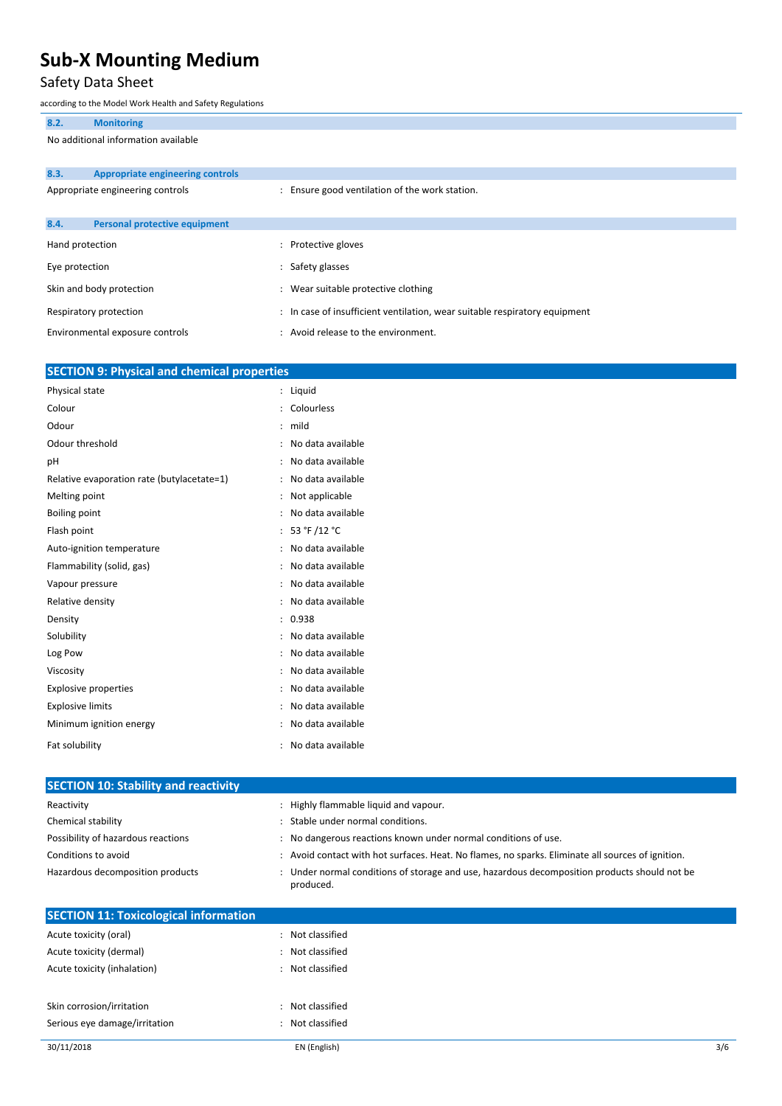### Safety Data Sheet

according to the Model Work Health and Safety Regulations

|                                     | according to the ividuel violin Health and Safety Regulations |                                                                            |
|-------------------------------------|---------------------------------------------------------------|----------------------------------------------------------------------------|
| 8.2.                                | <b>Monitoring</b>                                             |                                                                            |
| No additional information available |                                                               |                                                                            |
|                                     |                                                               |                                                                            |
| 8.3.                                | <b>Appropriate engineering controls</b>                       |                                                                            |
|                                     | Appropriate engineering controls                              | : Ensure good ventilation of the work station.                             |
| 8.4.                                | Personal protective equipment                                 |                                                                            |
|                                     | Hand protection                                               | : Protective gloves                                                        |
| Eye protection                      |                                                               | : Safety glasses                                                           |
|                                     | Skin and body protection                                      | : Wear suitable protective clothing                                        |
|                                     | Respiratory protection                                        | : In case of insufficient ventilation, wear suitable respiratory equipment |
|                                     | Environmental exposure controls                               | : Avoid release to the environment.                                        |

| <b>SECTION 9: Physical and chemical properties</b> |                |                   |
|----------------------------------------------------|----------------|-------------------|
| Physical state                                     | $\ddot{\cdot}$ | Liquid            |
| Colour                                             |                | Colourless        |
| Odour                                              | ÷              | mild              |
| Odour threshold                                    | $\ddot{\cdot}$ | No data available |
| pH                                                 |                | No data available |
| Relative evaporation rate (butylacetate=1)         |                | No data available |
| Melting point                                      | $\ddot{\cdot}$ | Not applicable    |
| <b>Boiling point</b>                               | $\ddot{\cdot}$ | No data available |
| Flash point                                        |                | 53 °F /12 °C      |
| Auto-ignition temperature                          |                | No data available |
| Flammability (solid, gas)                          | ÷              | No data available |
| Vapour pressure                                    |                | No data available |
| Relative density                                   |                | No data available |
| Density                                            | $\ddot{\cdot}$ | 0.938             |
| Solubility                                         | ÷              | No data available |
| Log Pow                                            |                | No data available |
| Viscosity                                          |                | No data available |
| <b>Explosive properties</b>                        | ÷              | No data available |
| <b>Explosive limits</b>                            |                | No data available |
| Minimum ignition energy                            |                | No data available |
| Fat solubility                                     |                | No data available |

| <b>SECTION 10: Stability and reactivity</b>  |                                                                                                           |
|----------------------------------------------|-----------------------------------------------------------------------------------------------------------|
| Reactivity                                   | : Highly flammable liquid and vapour.                                                                     |
| Chemical stability                           | : Stable under normal conditions.                                                                         |
| Possibility of hazardous reactions           | : No dangerous reactions known under normal conditions of use.                                            |
| Conditions to avoid                          | : Avoid contact with hot surfaces. Heat. No flames, no sparks. Eliminate all sources of ignition.         |
| Hazardous decomposition products             | : Under normal conditions of storage and use, hazardous decomposition products should not be<br>produced. |
| <b>SECTION 11: Toxicological information</b> |                                                                                                           |
| Acute toxicity (oral)                        | Not classified                                                                                            |

| Acute toxicity (oral)         | : Not classified |
|-------------------------------|------------------|
| Acute toxicity (dermal)       | Not classified   |
| Acute toxicity (inhalation)   | : Not classified |
|                               |                  |
| Skin corrosion/irritation     | Not classified   |
| Serious eye damage/irritation | Not classified   |
|                               |                  |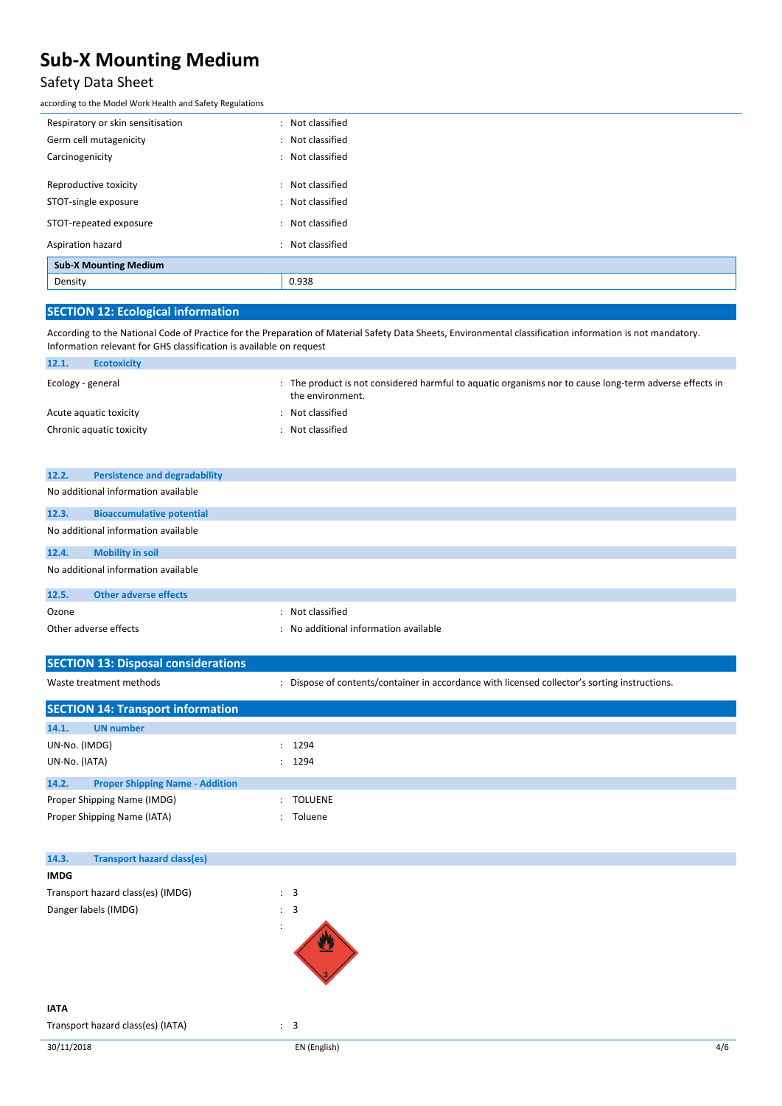### Safety Data Sheet

according to the Model Work Health and Safety Regulations

| Respiratory or skin sensitisation | : Not classified |
|-----------------------------------|------------------|
| Germ cell mutagenicity            | : Not classified |
| Carcinogenicity                   | : Not classified |
|                                   |                  |
| Reproductive toxicity             | : Not classified |
| STOT-single exposure              | : Not classified |
| STOT-repeated exposure            | : Not classified |
| Aspiration hazard                 | : Not classified |
| <b>Sub-X Mounting Medium</b>      |                  |
| Density                           | 0.938            |
|                                   |                  |

### **SECTION 12: Ecological information**

According to the National Code of Practice for the Preparation of Material Safety Data Sheets, Environmental classification information is not mandatory. Information relevant for GHS classification is available on request

| : The product is not considered harmful to aquatic organisms nor to cause long-term adverse effects in<br>the environment. |
|----------------------------------------------------------------------------------------------------------------------------|
| Not classified                                                                                                             |
| Not classified                                                                                                             |
|                                                                                                                            |

| 12.2. | <b>Persistence and degradability</b> |  |  |  |  |
|-------|--------------------------------------|--|--|--|--|
|       | No additional information available  |  |  |  |  |
| 12.3. | <b>Bioaccumulative potential</b>     |  |  |  |  |
|       | No additional information available  |  |  |  |  |
| 12.4. | <b>Mobility in soil</b>              |  |  |  |  |
|       | No additional information available  |  |  |  |  |
| 12.5. | <b>Other adverse effects</b>         |  |  |  |  |
| Ozone | Not classified                       |  |  |  |  |

| <b>PLAND</b>          | . моссюзэнны                          |
|-----------------------|---------------------------------------|
| Other adverse effects | : No additional information available |

| <b>SECTION 13: Disposal considerations</b>      |                                                                                               |
|-------------------------------------------------|-----------------------------------------------------------------------------------------------|
| Waste treatment methods                         | : Dispose of contents/container in accordance with licensed collector's sorting instructions. |
| <b>SECTION 14: Transport information</b>        |                                                                                               |
| <b>UN</b> number<br>14.1.                       |                                                                                               |
| UN-No. (IMDG)                                   | : 1294                                                                                        |
| UN-No. (IATA)                                   | : 1294                                                                                        |
| 14.2.<br><b>Proper Shipping Name - Addition</b> |                                                                                               |
| Proper Shipping Name (IMDG)                     | : TOLUENE                                                                                     |
| Proper Shipping Name (IATA)                     | : Toluene                                                                                     |

| <b>Transport hazard class(es)</b><br>14.3. |                |
|--------------------------------------------|----------------|
| <b>IMDG</b>                                |                |
| Transport hazard class(es) (IMDG)          | $\therefore$ 3 |
| Danger labels (IMDG)                       | $\therefore$ 3 |
|                                            | ÷              |

#### **IATA**

Transport hazard class(es) (IATA)  $\qquad \qquad : \quad 3$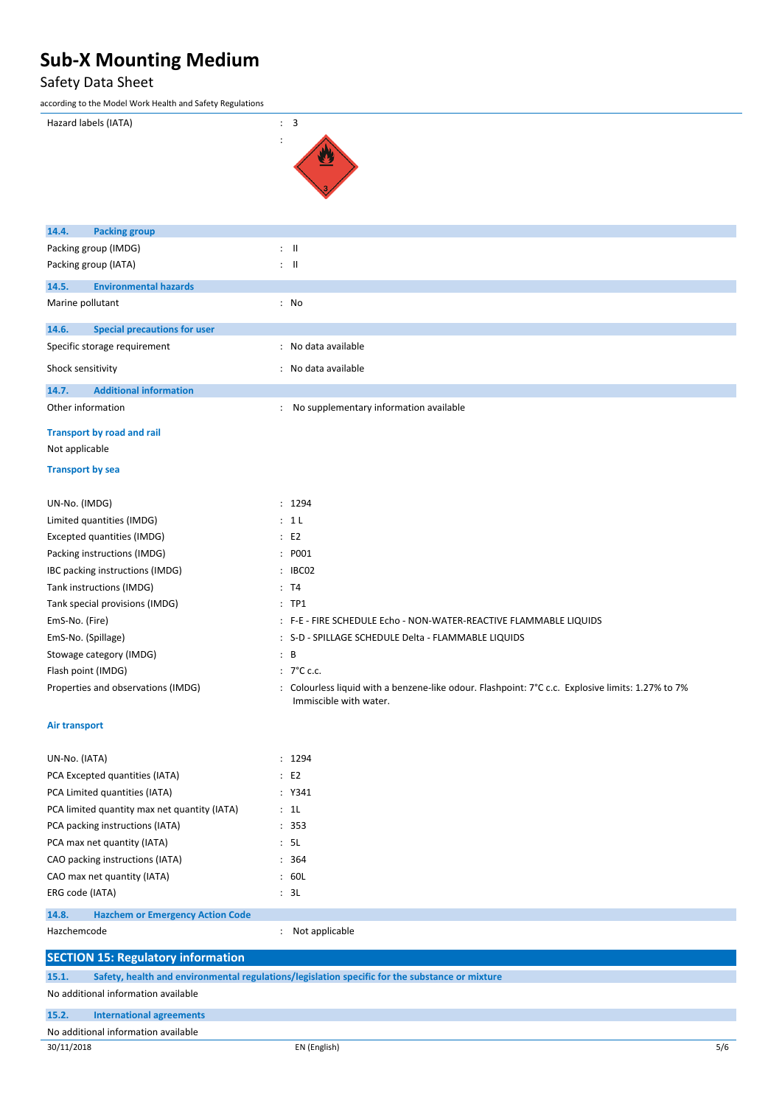### Safety Data Sheet

| according to the Model Work Health and Safety Regulations |                                                                                                                           |  |  |
|-----------------------------------------------------------|---------------------------------------------------------------------------------------------------------------------------|--|--|
| Hazard labels (IATA)                                      | : 3                                                                                                                       |  |  |
|                                                           |                                                                                                                           |  |  |
|                                                           |                                                                                                                           |  |  |
|                                                           |                                                                                                                           |  |  |
|                                                           |                                                                                                                           |  |  |
|                                                           |                                                                                                                           |  |  |
| 14.4.<br><b>Packing group</b>                             |                                                                                                                           |  |  |
| Packing group (IMDG)                                      | $\therefore$ $\blacksquare$                                                                                               |  |  |
| Packing group (IATA)                                      | : 11                                                                                                                      |  |  |
|                                                           |                                                                                                                           |  |  |
| 14.5.<br><b>Environmental hazards</b>                     |                                                                                                                           |  |  |
| Marine pollutant                                          | : No                                                                                                                      |  |  |
| 14.6.<br><b>Special precautions for user</b>              |                                                                                                                           |  |  |
| Specific storage requirement                              | : No data available                                                                                                       |  |  |
| Shock sensitivity                                         | : No data available                                                                                                       |  |  |
| <b>Additional information</b><br>14.7.                    |                                                                                                                           |  |  |
| Other information                                         | : No supplementary information available                                                                                  |  |  |
|                                                           |                                                                                                                           |  |  |
| <b>Transport by road and rail</b>                         |                                                                                                                           |  |  |
| Not applicable                                            |                                                                                                                           |  |  |
| <b>Transport by sea</b>                                   |                                                                                                                           |  |  |
|                                                           |                                                                                                                           |  |  |
| UN-No. (IMDG)                                             | : 1294                                                                                                                    |  |  |
| Limited quantities (IMDG)                                 | : 1L                                                                                                                      |  |  |
| Excepted quantities (IMDG)                                | E2                                                                                                                        |  |  |
| Packing instructions (IMDG)                               | : P001                                                                                                                    |  |  |
| IBC packing instructions (IMDG)                           | : IBC02                                                                                                                   |  |  |
| Tank instructions (IMDG)                                  | : T4                                                                                                                      |  |  |
| Tank special provisions (IMDG)                            | $:$ TP1                                                                                                                   |  |  |
| EmS-No. (Fire)                                            | : F-E - FIRE SCHEDULE Echo - NON-WATER-REACTIVE FLAMMABLE LIQUIDS                                                         |  |  |
| EmS-No. (Spillage)                                        | : S-D - SPILLAGE SCHEDULE Delta - FLAMMABLE LIQUIDS                                                                       |  |  |
| Stowage category (IMDG)                                   | $\therefore$ B                                                                                                            |  |  |
| Flash point (IMDG)                                        | $: 7^{\circ}$ C c.c.                                                                                                      |  |  |
| Properties and observations (IMDG)                        | Colourless liquid with a benzene-like odour. Flashpoint: 7°C c.c. Explosive limits: 1.27% to 7%<br>Immiscible with water. |  |  |
| Air transport                                             |                                                                                                                           |  |  |
| UN-No. (IATA)                                             | : 1294                                                                                                                    |  |  |
| PCA Excepted quantities (IATA)                            | E2                                                                                                                        |  |  |
| PCA Limited quantities (IATA)                             | : Y341                                                                                                                    |  |  |
| PCA limited quantity max net quantity (IATA)              | : 1L                                                                                                                      |  |  |
| PCA packing instructions (IATA)                           | : 353                                                                                                                     |  |  |
| PCA max net quantity (IATA)                               | : 5L                                                                                                                      |  |  |
| CAO packing instructions (IATA)                           | : 364                                                                                                                     |  |  |
| CAO max net quantity (IATA)                               | : 60L                                                                                                                     |  |  |

**14.8. Hazchem or Emergency Action Code**

ERG code (IATA) : 3L

Hazchemcode **in the set of the set of the set of the set of the set of the set of the set of the set of the set of the set of the set of the set of the set of the set of the set of the set of the set of the set of the set** 

| <b>SECTION 15: Regulatory information</b> |                                                                                                |     |  |  |  |
|-------------------------------------------|------------------------------------------------------------------------------------------------|-----|--|--|--|
| 15.1.                                     | Safety, health and environmental regulations/legislation specific for the substance or mixture |     |  |  |  |
|                                           | No additional information available                                                            |     |  |  |  |
| 15.2.                                     | <b>International agreements</b>                                                                |     |  |  |  |
| No additional information available       |                                                                                                |     |  |  |  |
| 30/11/2018                                | EN (English)                                                                                   | 5/6 |  |  |  |